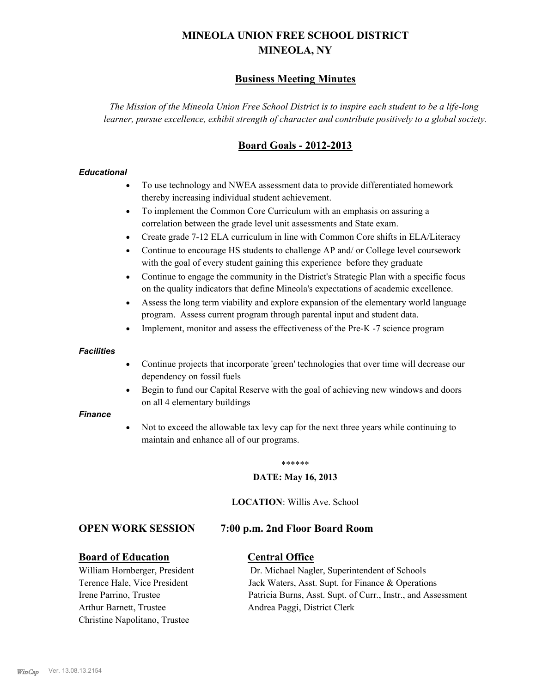# **MINEOLA UNION FREE SCHOOL DISTRICT MINEOLA, NY**

# **Business Meeting Minutes**

*The Mission of the Mineola Union Free School District is to inspire each student to be a life-long learner, pursue excellence, exhibit strength of character and contribute positively to a global society.*

# **Board Goals - 2012-2013**

#### *Educational*

- · To use technology and NWEA assessment data to provide differentiated homework thereby increasing individual student achievement.
- · To implement the Common Core Curriculum with an emphasis on assuring a correlation between the grade level unit assessments and State exam.
- Create grade 7-12 ELA curriculum in line with Common Core shifts in ELA/Literacy
- Continue to encourage HS students to challenge AP and/ or College level coursework with the goal of every student gaining this experience before they graduate
- · Continue to engage the community in the District's Strategic Plan with a specific focus on the quality indicators that define Mineola's expectations of academic excellence.
- Assess the long term viability and explore expansion of the elementary world language program. Assess current program through parental input and student data.
- Implement, monitor and assess the effectiveness of the Pre-K -7 science program

#### *Facilities*

- · Continue projects that incorporate 'green' technologies that over time will decrease our dependency on fossil fuels
- · Begin to fund our Capital Reserve with the goal of achieving new windows and doors on all 4 elementary buildings

#### *Finance*

Not to exceed the allowable tax levy cap for the next three years while continuing to maintain and enhance all of our programs.

#### \*\*\*\*\*\*

#### **DATE: May 16, 2013**

**LOCATION**: Willis Ave. School

#### **OPEN WORK SESSION 7:00 p.m. 2nd Floor Board Room**

#### **Board of Education Central Office**

Arthur Barnett, Trustee Andrea Paggi, District Clerk Christine Napolitano, Trustee

William Hornberger, President Dr. Michael Nagler, Superintendent of Schools Terence Hale, Vice President Jack Waters, Asst. Supt. for Finance & Operations Irene Parrino, Trustee Patricia Burns, Asst. Supt. of Curr., Instr., and Assessment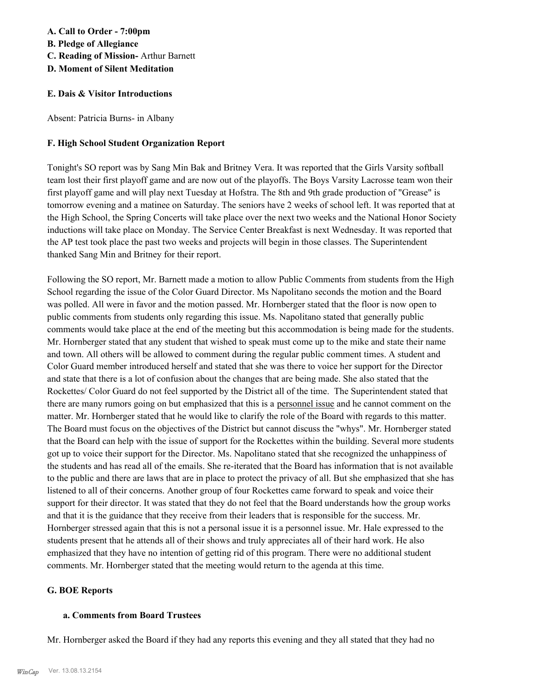# **A. Call to Order - 7:00pm B. Pledge of Allegiance C. Reading of Mission-** Arthur Barnett **D. Moment of Silent Meditation**

#### **E. Dais & Visitor Introductions**

Absent: Patricia Burns- in Albany

#### **F. High School Student Organization Report**

Tonight's SO report was by Sang Min Bak and Britney Vera. It was reported that the Girls Varsity softball team lost their first playoff game and are now out of the playoffs. The Boys Varsity Lacrosse team won their first playoff game and will play next Tuesday at Hofstra. The 8th and 9th grade production of "Grease" is tomorrow evening and a matinee on Saturday. The seniors have 2 weeks of school left. It was reported that at the High School, the Spring Concerts will take place over the next two weeks and the National Honor Society inductions will take place on Monday. The Service Center Breakfast is next Wednesday. It was reported that the AP test took place the past two weeks and projects will begin in those classes. The Superintendent thanked Sang Min and Britney for their report.

Following the SO report, Mr. Barnett made a motion to allow Public Comments from students from the High School regarding the issue of the Color Guard Director. Ms Napolitano seconds the motion and the Board was polled. All were in favor and the motion passed. Mr. Hornberger stated that the floor is now open to public comments from students only regarding this issue. Ms. Napolitano stated that generally public comments would take place at the end of the meeting but this accommodation is being made for the students. Mr. Hornberger stated that any student that wished to speak must come up to the mike and state their name and town. All others will be allowed to comment during the regular public comment times. A student and Color Guard member introduced herself and stated that she was there to voice her support for the Director and state that there is a lot of confusion about the changes that are being made. She also stated that the Rockettes/ Color Guard do not feel supported by the District all of the time. The Superintendent stated that there are many rumors going on but emphasized that this is a personnel issue and he cannot comment on the matter. Mr. Hornberger stated that he would like to clarify the role of the Board with regards to this matter. The Board must focus on the objectives of the District but cannot discuss the "whys". Mr. Hornberger stated that the Board can help with the issue of support for the Rockettes within the building. Several more students got up to voice their support for the Director. Ms. Napolitano stated that she recognized the unhappiness of the students and has read all of the emails. She re-iterated that the Board has information that is not available to the public and there are laws that are in place to protect the privacy of all. But she emphasized that she has listened to all of their concerns. Another group of four Rockettes came forward to speak and voice their support for their director. It was stated that they do not feel that the Board understands how the group works and that it is the guidance that they receive from their leaders that is responsible for the success. Mr. Hornberger stressed again that this is not a personal issue it is a personnel issue. Mr. Hale expressed to the students present that he attends all of their shows and truly appreciates all of their hard work. He also emphasized that they have no intention of getting rid of this program. There were no additional student comments. Mr. Hornberger stated that the meeting would return to the agenda at this time.

#### **G. BOE Reports**

#### **a. Comments from Board Trustees**

Mr. Hornberger asked the Board if they had any reports this evening and they all stated that they had no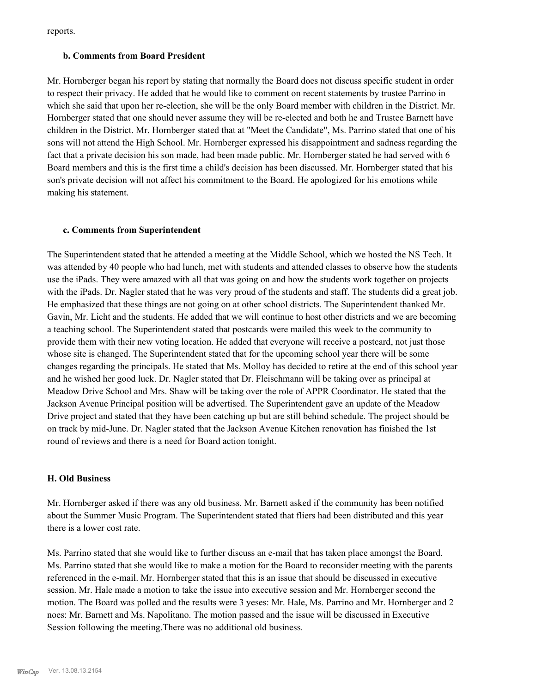reports.

#### **b. Comments from Board President**

Mr. Hornberger began his report by stating that normally the Board does not discuss specific student in order to respect their privacy. He added that he would like to comment on recent statements by trustee Parrino in which she said that upon her re-election, she will be the only Board member with children in the District. Mr. Hornberger stated that one should never assume they will be re-elected and both he and Trustee Barnett have children in the District. Mr. Hornberger stated that at "Meet the Candidate", Ms. Parrino stated that one of his sons will not attend the High School. Mr. Hornberger expressed his disappointment and sadness regarding the fact that a private decision his son made, had been made public. Mr. Hornberger stated he had served with 6 Board members and this is the first time a child's decision has been discussed. Mr. Hornberger stated that his son's private decision will not affect his commitment to the Board. He apologized for his emotions while making his statement.

#### **c. Comments from Superintendent**

The Superintendent stated that he attended a meeting at the Middle School, which we hosted the NS Tech. It was attended by 40 people who had lunch, met with students and attended classes to observe how the students use the iPads. They were amazed with all that was going on and how the students work together on projects with the iPads. Dr. Nagler stated that he was very proud of the students and staff. The students did a great job. He emphasized that these things are not going on at other school districts. The Superintendent thanked Mr. Gavin, Mr. Licht and the students. He added that we will continue to host other districts and we are becoming a teaching school. The Superintendent stated that postcards were mailed this week to the community to provide them with their new voting location. He added that everyone will receive a postcard, not just those whose site is changed. The Superintendent stated that for the upcoming school year there will be some changes regarding the principals. He stated that Ms. Molloy has decided to retire at the end of this school year and he wished her good luck. Dr. Nagler stated that Dr. Fleischmann will be taking over as principal at Meadow Drive School and Mrs. Shaw will be taking over the role of APPR Coordinator. He stated that the Jackson Avenue Principal position will be advertised. The Superintendent gave an update of the Meadow Drive project and stated that they have been catching up but are still behind schedule. The project should be on track by mid-June. Dr. Nagler stated that the Jackson Avenue Kitchen renovation has finished the 1st round of reviews and there is a need for Board action tonight.

#### **H. Old Business**

Mr. Hornberger asked if there was any old business. Mr. Barnett asked if the community has been notified about the Summer Music Program. The Superintendent stated that fliers had been distributed and this year there is a lower cost rate.

Ms. Parrino stated that she would like to further discuss an e-mail that has taken place amongst the Board. Ms. Parrino stated that she would like to make a motion for the Board to reconsider meeting with the parents referenced in the e-mail. Mr. Hornberger stated that this is an issue that should be discussed in executive session. Mr. Hale made a motion to take the issue into executive session and Mr. Hornberger second the motion. The Board was polled and the results were 3 yeses: Mr. Hale, Ms. Parrino and Mr. Hornberger and 2 noes: Mr. Barnett and Ms. Napolitano. The motion passed and the issue will be discussed in Executive Session following the meeting.There was no additional old business.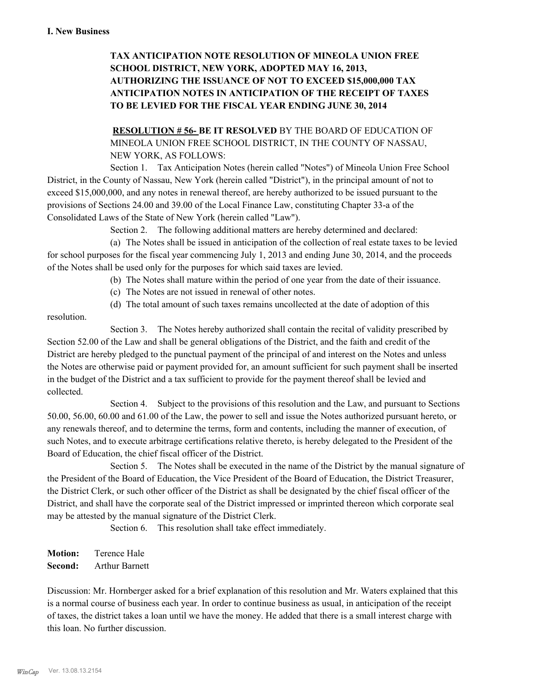# **TAX ANTICIPATION NOTE RESOLUTION OF MINEOLA UNION FREE SCHOOL DISTRICT, NEW YORK, ADOPTED MAY 16, 2013, AUTHORIZING THE ISSUANCE OF NOT TO EXCEED \$15,000,000 TAX ANTICIPATION NOTES IN ANTICIPATION OF THE RECEIPT OF TAXES TO BE LEVIED FOR THE FISCAL YEAR ENDING JUNE 30, 2014**

**RESOLUTION # 56- BE IT RESOLVED** BY THE BOARD OF EDUCATION OF MINEOLA UNION FREE SCHOOL DISTRICT, IN THE COUNTY OF NASSAU, NEW YORK, AS FOLLOWS:

Section 1. Tax Anticipation Notes (herein called "Notes") of Mineola Union Free School District, in the County of Nassau, New York (herein called "District"), in the principal amount of not to exceed \$15,000,000, and any notes in renewal thereof, are hereby authorized to be issued pursuant to the provisions of Sections 24.00 and 39.00 of the Local Finance Law, constituting Chapter 33-a of the Consolidated Laws of the State of New York (herein called "Law").

Section 2. The following additional matters are hereby determined and declared:

(a) The Notes shall be issued in anticipation of the collection of real estate taxes to be levied for school purposes for the fiscal year commencing July 1, 2013 and ending June 30, 2014, and the proceeds of the Notes shall be used only for the purposes for which said taxes are levied.

- (b) The Notes shall mature within the period of one year from the date of their issuance.
- (c) The Notes are not issued in renewal of other notes.
- (d) The total amount of such taxes remains uncollected at the date of adoption of this

resolution.

Section 3. The Notes hereby authorized shall contain the recital of validity prescribed by Section 52.00 of the Law and shall be general obligations of the District, and the faith and credit of the District are hereby pledged to the punctual payment of the principal of and interest on the Notes and unless the Notes are otherwise paid or payment provided for, an amount sufficient for such payment shall be inserted in the budget of the District and a tax sufficient to provide for the payment thereof shall be levied and collected.

Section 4. Subject to the provisions of this resolution and the Law, and pursuant to Sections 50.00, 56.00, 60.00 and 61.00 of the Law, the power to sell and issue the Notes authorized pursuant hereto, or any renewals thereof, and to determine the terms, form and contents, including the manner of execution, of such Notes, and to execute arbitrage certifications relative thereto, is hereby delegated to the President of the Board of Education, the chief fiscal officer of the District.

Section 5. The Notes shall be executed in the name of the District by the manual signature of the President of the Board of Education, the Vice President of the Board of Education, the District Treasurer, the District Clerk, or such other officer of the District as shall be designated by the chief fiscal officer of the District, and shall have the corporate seal of the District impressed or imprinted thereon which corporate seal may be attested by the manual signature of the District Clerk.

Section 6. This resolution shall take effect immediately.

**Motion:** Terence Hale **Second:** Arthur Barnett

Discussion: Mr. Hornberger asked for a brief explanation of this resolution and Mr. Waters explained that this is a normal course of business each year. In order to continue business as usual, in anticipation of the receipt of taxes, the district takes a loan until we have the money. He added that there is a small interest charge with this loan. No further discussion.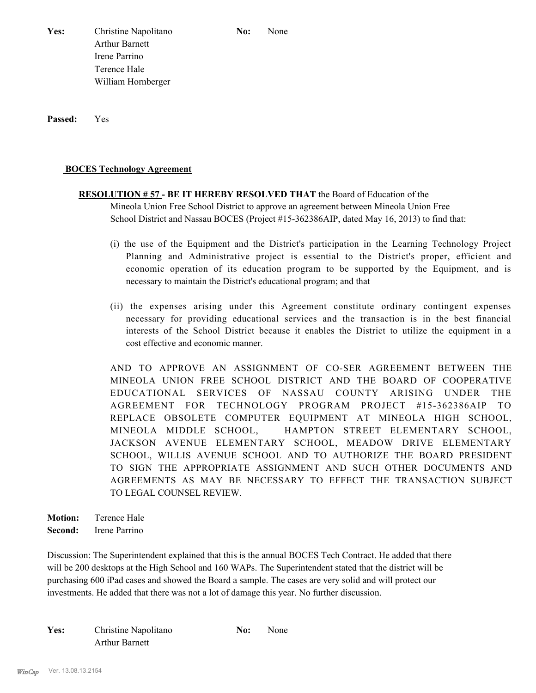Yes: Christine Napolitano **No:** None Arthur Barnett Irene Parrino Terence Hale William Hornberger

**Passed:** Yes

#### **BOCES Technology Agreement**

# **RESOLUTION # 57 - BE IT HEREBY RESOLVED THAT** the Board of Education of the Mineola Union Free School District to approve an agreement between Mineola Union Free School District and Nassau BOCES (Project #15-362386AIP, dated May 16, 2013) to find that:

- (i) the use of the Equipment and the District's participation in the Learning Technology Project Planning and Administrative project is essential to the District's proper, efficient and economic operation of its education program to be supported by the Equipment, and is necessary to maintain the District's educational program; and that
- (ii) the expenses arising under this Agreement constitute ordinary contingent expenses necessary for providing educational services and the transaction is in the best financial interests of the School District because it enables the District to utilize the equipment in a cost effective and economic manner.

AND TO APPROVE AN ASSIGNMENT OF CO-SER AGREEMENT BETWEEN THE MINEOLA UNION FREE SCHOOL DISTRICT AND THE BOARD OF COOPERATIVE EDUCATIONAL SERVICES OF NASSAU COUNTY ARISING UNDER THE AGREEMENT FOR TECHNOLOGY PROGRAM PROJECT #15-362386AIP TO REPLACE OBSOLETE COMPUTER EQUIPMENT AT MINEOLA HIGH SCHOOL, MINEOLA MIDDLE SCHOOL, HAMPTON STREET ELEMENTARY SCHOOL, JACKSON AVENUE ELEMENTARY SCHOOL, MEADOW DRIVE ELEMENTARY SCHOOL, WILLIS AVENUE SCHOOL AND TO AUTHORIZE THE BOARD PRESIDENT TO SIGN THE APPROPRIATE ASSIGNMENT AND SUCH OTHER DOCUMENTS AND AGREEMENTS AS MAY BE NECESSARY TO EFFECT THE TRANSACTION SUBJECT TO LEGAL COUNSEL REVIEW.

**Motion:** Terence Hale **Second:** Irene Parrino

Discussion: The Superintendent explained that this is the annual BOCES Tech Contract. He added that there will be 200 desktops at the High School and 160 WAPs. The Superintendent stated that the district will be purchasing 600 iPad cases and showed the Board a sample. The cases are very solid and will protect our investments. He added that there was not a lot of damage this year. No further discussion.

| Yes: | Christine Napolitano  | No: | None |
|------|-----------------------|-----|------|
|      | <b>Arthur Barnett</b> |     |      |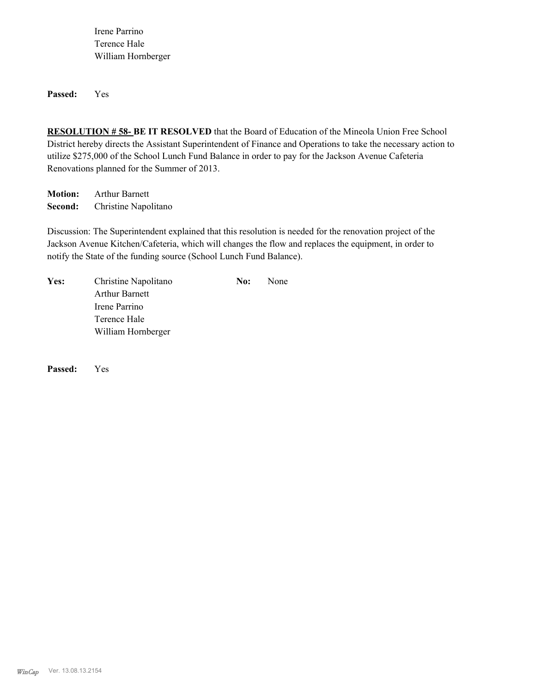Irene Parrino Terence Hale William Hornberger

**Passed:** Yes

**RESOLUTION # 58- BE IT RESOLVED** that the Board of Education of the Mineola Union Free School District hereby directs the Assistant Superintendent of Finance and Operations to take the necessary action to utilize \$275,000 of the School Lunch Fund Balance in order to pay for the Jackson Avenue Cafeteria Renovations planned for the Summer of 2013.

**Motion:** Arthur Barnett **Second:** Christine Napolitano

Discussion: The Superintendent explained that this resolution is needed for the renovation project of the Jackson Avenue Kitchen/Cafeteria, which will changes the flow and replaces the equipment, in order to notify the State of the funding source (School Lunch Fund Balance).

| Yes: | Christine Napolitano  | No: | None |
|------|-----------------------|-----|------|
|      | <b>Arthur Barnett</b> |     |      |
|      | Irene Parrino         |     |      |
|      | Terence Hale          |     |      |
|      | William Hornberger    |     |      |

**Passed:** Yes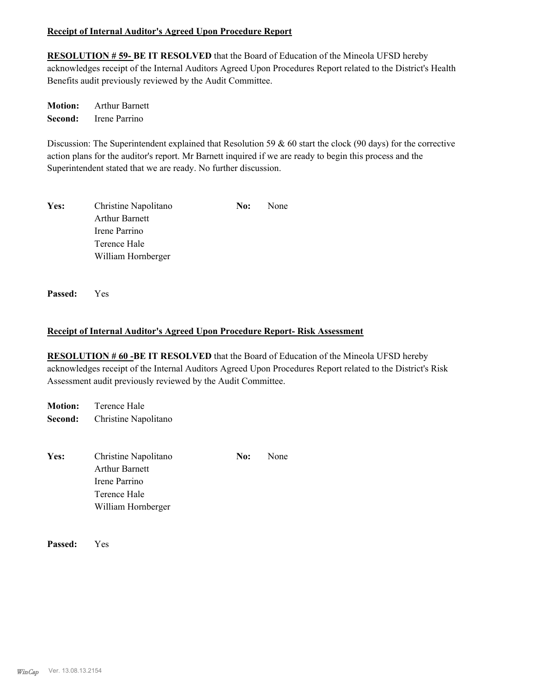### **Receipt of Internal Auditor's Agreed Upon Procedure Report**

**RESOLUTION # 59- BE IT RESOLVED** that the Board of Education of the Mineola UFSD hereby acknowledges receipt of the Internal Auditors Agreed Upon Procedures Report related to the District's Health Benefits audit previously reviewed by the Audit Committee.

**Motion:** Arthur Barnett **Second:** Irene Parrino

Discussion: The Superintendent explained that Resolution 59 & 60 start the clock (90 days) for the corrective action plans for the auditor's report. Mr Barnett inquired if we are ready to begin this process and the Superintendent stated that we are ready. No further discussion.

| Yes: | Christine Napolitano  | No: | None |
|------|-----------------------|-----|------|
|      | <b>Arthur Barnett</b> |     |      |
|      | Irene Parrino         |     |      |
|      | Terence Hale          |     |      |
|      | William Hornberger    |     |      |

**Passed:** Yes

### **Receipt of Internal Auditor's Agreed Upon Procedure Report- Risk Assessment**

**RESOLUTION # 60 -BE IT RESOLVED** that the Board of Education of the Mineola UFSD hereby acknowledges receipt of the Internal Auditors Agreed Upon Procedures Report related to the District's Risk Assessment audit previously reviewed by the Audit Committee.

**Motion:** Terence Hale **Second:** Christine Napolitano

| Yes: | Christine Napolitano  | No: | None |
|------|-----------------------|-----|------|
|      | <b>Arthur Barnett</b> |     |      |
|      | Irene Parrino         |     |      |
|      | Terence Hale          |     |      |
|      | William Hornberger    |     |      |

**Passed:** Yes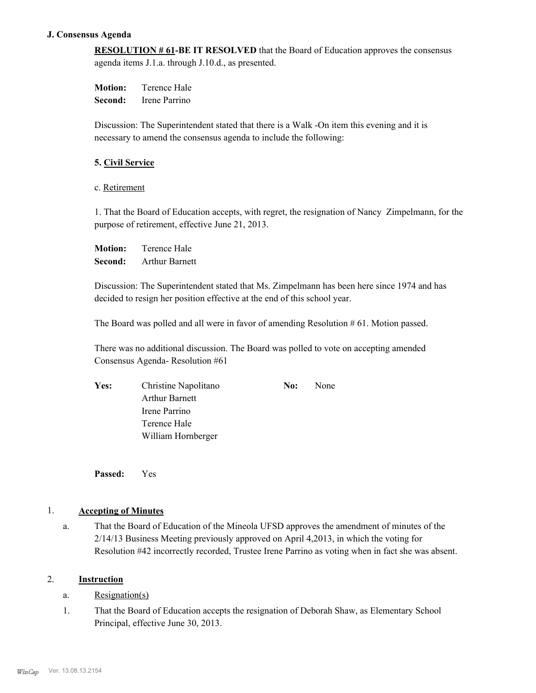#### **J. Consensus Agenda**

**RESOLUTION # 61-BE IT RESOLVED** that the Board of Education approves the consensus agenda items J.1.a. through J.10.d., as presented.

**Motion:** Terence Hale **Second:** Irene Parrino

Discussion: The Superintendent stated that there is a Walk -On item this evening and it is necessary to amend the consensus agenda to include the following:

#### **5. Civil Service**

c. Retirement

1. That the Board of Education accepts, with regret, the resignation of Nancy Zimpelmann, for the purpose of retirement, effective June 21, 2013.

**Motion:** Terence Hale **Second:** Arthur Barnett

Discussion: The Superintendent stated that Ms. Zimpelmann has been here since 1974 and has decided to resign her position effective at the end of this school year.

The Board was polled and all were in favor of amending Resolution # 61. Motion passed.

There was no additional discussion. The Board was polled to vote on accepting amended Consensus Agenda- Resolution #61

| Yes: | Christine Napolitano  | No: | None |
|------|-----------------------|-----|------|
|      | <b>Arthur Barnett</b> |     |      |
|      | Irene Parrino         |     |      |
|      | Terence Hale          |     |      |
|      | William Hornberger    |     |      |

**Passed:** Yes

#### 1. **Accepting of Minutes**

That the Board of Education of the Mineola UFSD approves the amendment of minutes of the 2/14/13 Business Meeting previously approved on April 4,2013, in which the voting for Resolution #42 incorrectly recorded, Trustee Irene Parrino as voting when in fact she was absent. a.

## 2. **Instruction**

- a. Resignation(s)
- That the Board of Education accepts the resignation of Deborah Shaw, as Elementary School Principal, effective June 30, 2013. 1.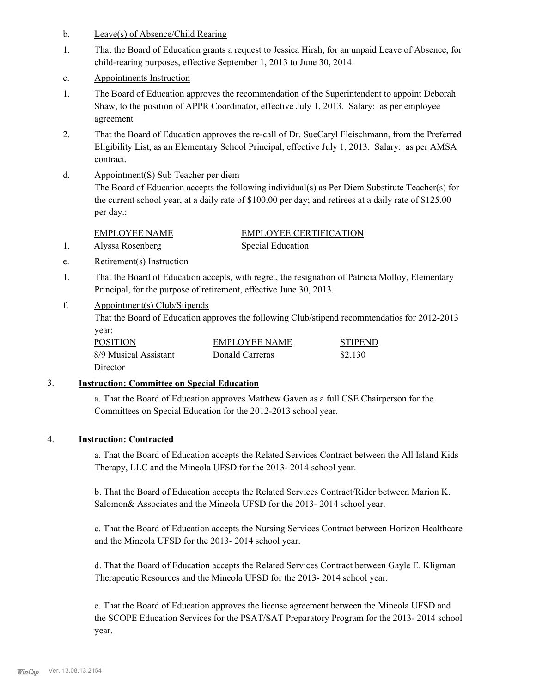- b. Leave(s) of Absence/Child Rearing
- That the Board of Education grants a request to Jessica Hirsh, for an unpaid Leave of Absence, for child-rearing purposes, effective September 1, 2013 to June 30, 2014. 1.
- c. Appointments Instruction
- The Board of Education approves the recommendation of the Superintendent to appoint Deborah Shaw, to the position of APPR Coordinator, effective July 1, 2013. Salary: as per employee agreement 1.
- That the Board of Education approves the re-call of Dr. SueCaryl Fleischmann, from the Preferred Eligibility List, as an Elementary School Principal, effective July 1, 2013. Salary: as per AMSA contract. 2.
- Appointment(S) Sub Teacher per diem d.

The Board of Education accepts the following individual(s) as Per Diem Substitute Teacher(s) for the current school year, at a daily rate of \$100.00 per day; and retirees at a daily rate of \$125.00 per day.:

EMPLOYEE NAME EMPLOYEE CERTIFICATION 1. Alyssa Rosenberg Special Education

- e. Retirement(s) Instruction
- That the Board of Education accepts, with regret, the resignation of Patricia Molloy, Elementary Principal, for the purpose of retirement, effective June 30, 2013. 1.
- Appointment(s) Club/Stipends f.

That the Board of Education approves the following Club/stipend recommendatios for 2012-2013 year:

| <b>POSITION</b>       | <b>EMPLOYEE NAME</b> | <b>STIPEND</b> |
|-----------------------|----------------------|----------------|
| 8/9 Musical Assistant | Donald Carreras      | \$2,130        |
| Director              |                      |                |

#### 3. **Instruction: Committee on Special Education**

a. That the Board of Education approves Matthew Gaven as a full CSE Chairperson for the Committees on Special Education for the 2012-2013 school year.

#### 4. **Instruction: Contracted**

a. That the Board of Education accepts the Related Services Contract between the All Island Kids Therapy, LLC and the Mineola UFSD for the 2013- 2014 school year.

b. That the Board of Education accepts the Related Services Contract/Rider between Marion K. Salomon& Associates and the Mineola UFSD for the 2013-2014 school year.

c. That the Board of Education accepts the Nursing Services Contract between Horizon Healthcare and the Mineola UFSD for the 2013- 2014 school year.

d. That the Board of Education accepts the Related Services Contract between Gayle E. Kligman Therapeutic Resources and the Mineola UFSD for the 2013- 2014 school year.

e. That the Board of Education approves the license agreement between the Mineola UFSD and the SCOPE Education Services for the PSAT/SAT Preparatory Program for the 2013- 2014 school year.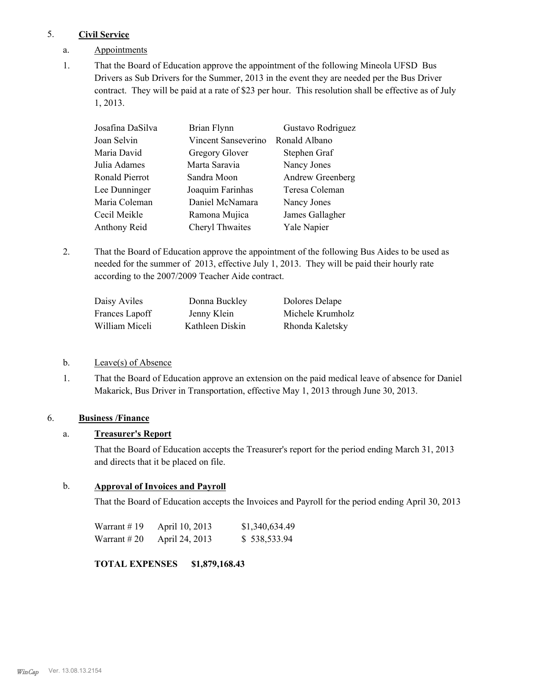### 5. **Civil Service**

- a. Appointments
- That the Board of Education approve the appointment of the following Mineola UFSD Bus Drivers as Sub Drivers for the Summer, 2013 in the event they are needed per the Bus Driver contract. They will be paid at a rate of \$23 per hour. This resolution shall be effective as of July 1, 2013. 1.

| Josafina DaSilva | Brian Flynn         | Gustavo Rodriguez |
|------------------|---------------------|-------------------|
| Joan Selvin      | Vincent Sanseverino | Ronald Albano     |
| Maria David      | Gregory Glover      | Stephen Graf      |
| Julia Adames     | Marta Saravia       | Nancy Jones       |
| Ronald Pierrot   | Sandra Moon         | Andrew Greenberg  |
| Lee Dunninger    | Joaquim Farinhas    | Teresa Coleman    |
| Maria Coleman    | Daniel McNamara     | Nancy Jones       |
| Cecil Meikle     | Ramona Mujica       | James Gallagher   |
| Anthony Reid     | Cheryl Thwaites     | Yale Napier       |

That the Board of Education approve the appointment of the following Bus Aides to be used as needed for the summer of 2013, effective July 1, 2013. They will be paid their hourly rate according to the 2007/2009 Teacher Aide contract. 2.

| Daisy Aviles   | Donna Buckley   | Dolores Delape   |
|----------------|-----------------|------------------|
| Frances Lapoff | Jenny Klein     | Michele Krumholz |
| William Miceli | Kathleen Diskin | Rhonda Kaletsky  |

- b. Leave(s) of Absence
- That the Board of Education approve an extension on the paid medical leave of absence for Daniel Makarick, Bus Driver in Transportation, effective May 1, 2013 through June 30, 2013. 1.

# 6. **Business /Finance**

### a. **Treasurer's Report**

That the Board of Education accepts the Treasurer's report for the period ending March 31, 2013 and directs that it be placed on file.

# b. **Approval of Invoices and Payroll**

That the Board of Education accepts the Invoices and Payroll for the period ending April 30, 2013

| Warrant # 19 | April 10, 2013 | \$1,340,634.49 |
|--------------|----------------|----------------|
| Warrant # 20 | April 24, 2013 | \$538,533.94   |

# **TOTAL EXPENSES \$1,879,168.43**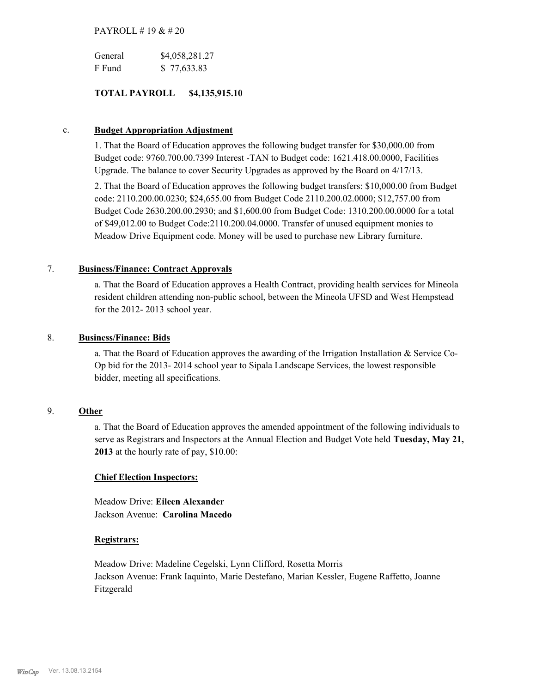#### PAYROLL # 19 & # 20

| General | \$4,058,281.27 |
|---------|----------------|
| F Fund  | \$77,633.83    |

### **TOTAL PAYROLL \$4,135,915.10**

#### c. **Budget Appropriation Adjustment**

1. That the Board of Education approves the following budget transfer for \$30,000.00 from Budget code: 9760.700.00.7399 Interest -TAN to Budget code: 1621.418.00.0000, Facilities Upgrade. The balance to cover Security Upgrades as approved by the Board on 4/17/13.

2. That the Board of Education approves the following budget transfers: \$10,000.00 from Budget code: 2110.200.00.0230; \$24,655.00 from Budget Code 2110.200.02.0000; \$12,757.00 from Budget Code 2630.200.00.2930; and \$1,600.00 from Budget Code: 1310.200.00.0000 for a total of \$49,012.00 to Budget Code:2110.200.04.0000. Transfer of unused equipment monies to Meadow Drive Equipment code. Money will be used to purchase new Library furniture.

#### 7. **Business/Finance: Contract Approvals**

a. That the Board of Education approves a Health Contract, providing health services for Mineola resident children attending non-public school, between the Mineola UFSD and West Hempstead for the 2012- 2013 school year.

#### 8. **Business/Finance: Bids**

a. That the Board of Education approves the awarding of the Irrigation Installation & Service Co-Op bid for the 2013- 2014 school year to Sipala Landscape Services, the lowest responsible bidder, meeting all specifications.

#### 9. **Other**

a. That the Board of Education approves the amended appointment of the following individuals to serve as Registrars and Inspectors at the Annual Election and Budget Vote held **Tuesday, May 21, 2013** at the hourly rate of pay, \$10.00:

#### **Chief Election Inspectors:**

Meadow Drive: **Eileen Alexander**  Jackson Avenue: **Carolina Macedo**

#### **Registrars:**

Meadow Drive: Madeline Cegelski, Lynn Clifford, Rosetta Morris Jackson Avenue: Frank Iaquinto, Marie Destefano, Marian Kessler, Eugene Raffetto, Joanne Fitzgerald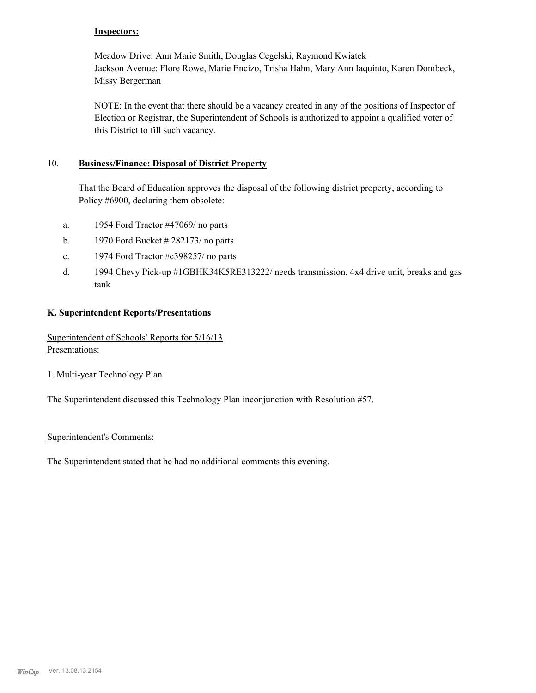#### **Inspectors:**

Meadow Drive: Ann Marie Smith, Douglas Cegelski, Raymond Kwiatek Jackson Avenue: Flore Rowe, Marie Encizo, Trisha Hahn, Mary Ann Iaquinto, Karen Dombeck, Missy Bergerman

NOTE: In the event that there should be a vacancy created in any of the positions of Inspector of Election or Registrar, the Superintendent of Schools is authorized to appoint a qualified voter of this District to fill such vacancy.

#### **Business/Finance: Disposal of District Property** 10.

That the Board of Education approves the disposal of the following district property, according to Policy #6900, declaring them obsolete:

- a. 1954 Ford Tractor #47069/ no parts
- b. 1970 Ford Bucket  $\# 282173$  no parts
- c. 1974 Ford Tractor #c398257/ no parts
- 1994 Chevy Pick-up #1GBHK34K5RE313222/ needs transmission, 4x4 drive unit, breaks and gas tank d.

#### **K. Superintendent Reports/Presentations**

Superintendent of Schools' Reports for 5/16/13 Presentations:

1. Multi-year Technology Plan

The Superintendent discussed this Technology Plan inconjunction with Resolution #57.

#### Superintendent's Comments:

The Superintendent stated that he had no additional comments this evening.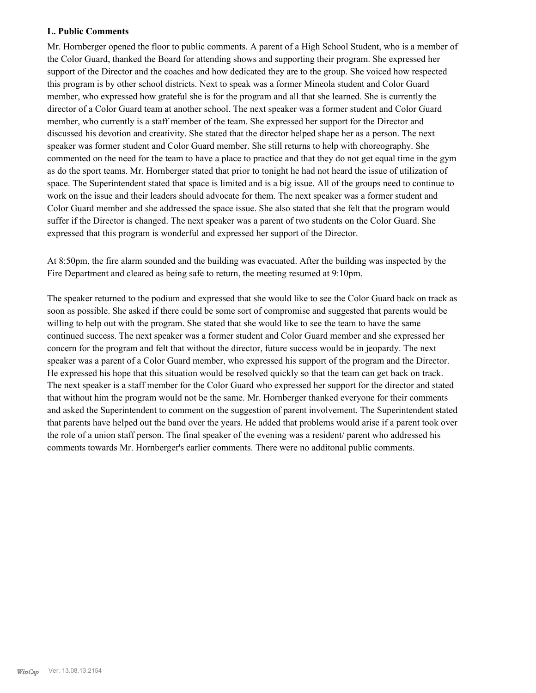#### **L. Public Comments**

Mr. Hornberger opened the floor to public comments. A parent of a High School Student, who is a member of the Color Guard, thanked the Board for attending shows and supporting their program. She expressed her support of the Director and the coaches and how dedicated they are to the group. She voiced how respected this program is by other school districts. Next to speak was a former Mineola student and Color Guard member, who expressed how grateful she is for the program and all that she learned. She is currently the director of a Color Guard team at another school. The next speaker was a former student and Color Guard member, who currently is a staff member of the team. She expressed her support for the Director and discussed his devotion and creativity. She stated that the director helped shape her as a person. The next speaker was former student and Color Guard member. She still returns to help with choreography. She commented on the need for the team to have a place to practice and that they do not get equal time in the gym as do the sport teams. Mr. Hornberger stated that prior to tonight he had not heard the issue of utilization of space. The Superintendent stated that space is limited and is a big issue. All of the groups need to continue to work on the issue and their leaders should advocate for them. The next speaker was a former student and Color Guard member and she addressed the space issue. She also stated that she felt that the program would suffer if the Director is changed. The next speaker was a parent of two students on the Color Guard. She expressed that this program is wonderful and expressed her support of the Director.

At 8:50pm, the fire alarm sounded and the building was evacuated. After the building was inspected by the Fire Department and cleared as being safe to return, the meeting resumed at 9:10pm.

The speaker returned to the podium and expressed that she would like to see the Color Guard back on track as soon as possible. She asked if there could be some sort of compromise and suggested that parents would be willing to help out with the program. She stated that she would like to see the team to have the same continued success. The next speaker was a former student and Color Guard member and she expressed her concern for the program and felt that without the director, future success would be in jeopardy. The next speaker was a parent of a Color Guard member, who expressed his support of the program and the Director. He expressed his hope that this situation would be resolved quickly so that the team can get back on track. The next speaker is a staff member for the Color Guard who expressed her support for the director and stated that without him the program would not be the same. Mr. Hornberger thanked everyone for their comments and asked the Superintendent to comment on the suggestion of parent involvement. The Superintendent stated that parents have helped out the band over the years. He added that problems would arise if a parent took over the role of a union staff person. The final speaker of the evening was a resident/ parent who addressed his comments towards Mr. Hornberger's earlier comments. There were no additonal public comments.